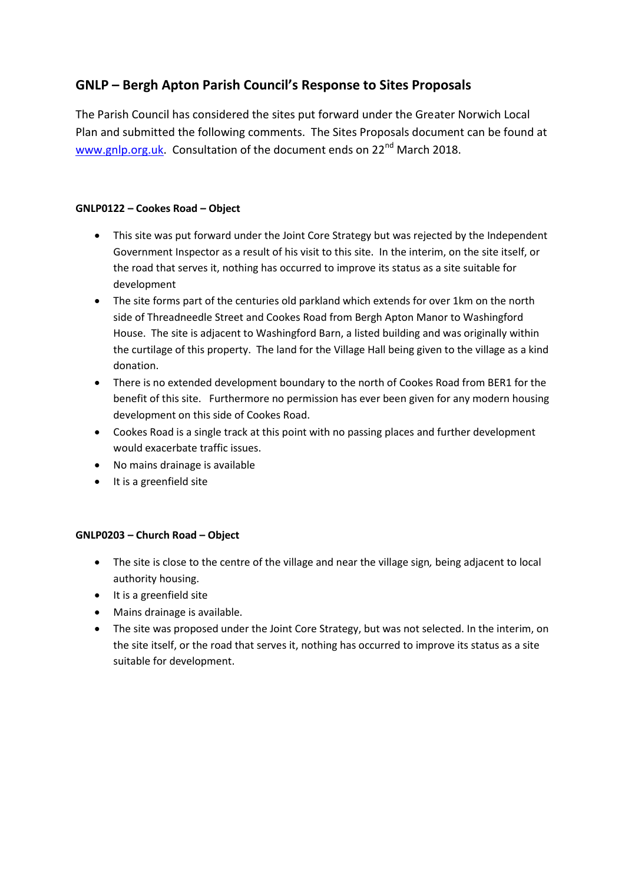# **GNLP – Bergh Apton Parish Council's Response to Sites Proposals**

The Parish Council has considered the sites put forward under the Greater Norwich Local Plan and submitted the following comments. The Sites Proposals document can be found at [www.gnlp.org.uk.](http://www.gnlp.org.uk/) Consultation of the document ends on 22<sup>nd</sup> March 2018.

## **GNLP0122 – Cookes Road – Object**

- This site was put forward under the Joint Core Strategy but was rejected by the Independent Government Inspector as a result of his visit to this site. In the interim, on the site itself, or the road that serves it, nothing has occurred to improve its status as a site suitable for development
- The site forms part of the centuries old parkland which extends for over 1km on the north side of Threadneedle Street and Cookes Road from Bergh Apton Manor to Washingford House. The site is adjacent to Washingford Barn, a listed building and was originally within the curtilage of this property. The land for the Village Hall being given to the village as a kind donation.
- There is no extended development boundary to the north of Cookes Road from BER1 for the benefit of this site. Furthermore no permission has ever been given for any modern housing development on this side of Cookes Road.
- Cookes Road is a single track at this point with no passing places and further development would exacerbate traffic issues.
- No mains drainage is available
- $\bullet$  It is a greenfield site

#### **GNLP0203 – Church Road – Object**

- The site is close to the centre of the village and near the village sign*,* being adjacent to local authority housing.
- $\bullet$  It is a greenfield site
- Mains drainage is available.
- The site was proposed under the Joint Core Strategy, but was not selected. In the interim, on the site itself, or the road that serves it, nothing has occurred to improve its status as a site suitable for development.